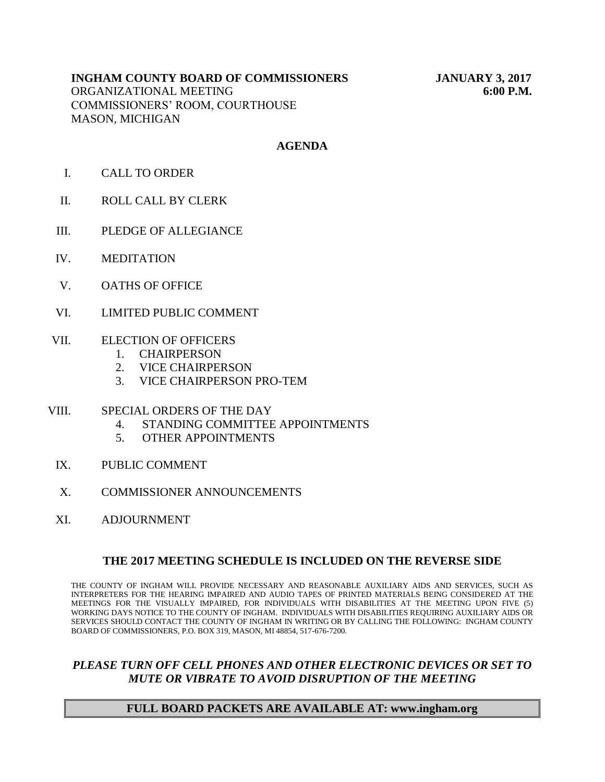# **INGHAM COUNTY BOARD OF COMMISSIONERS JANUARY 3, 2017** ORGANIZATIONAL MEETING **6:00 P.M.** COMMISSIONERS' ROOM, COURTHOUSE MASON, MICHIGAN

# **AGENDA**

- I. CALL TO ORDER
- II. ROLL CALL BY CLERK
- III. PLEDGE OF ALLEGIANCE
- IV. MEDITATION
- V. OATHS OF OFFICE
- VI. LIMITED PUBLIC COMMENT
- VII. ELECTION OF OFFICERS
	- 1. CHAIRPERSON
	- 2. VICE CHAIRPERSON
	- 3. VICE CHAIRPERSON PRO-TEM
- VIII. SPECIAL ORDERS OF THE DAY
	- 4. STANDING COMMITTEE APPOINTMENTS
	- 5. OTHER APPOINTMENTS
	- IX. PUBLIC COMMENT
	- X. COMMISSIONER ANNOUNCEMENTS
	- XI. ADJOURNMENT

#### **THE 2017 MEETING SCHEDULE IS INCLUDED ON THE REVERSE SIDE**

THE COUNTY OF INGHAM WILL PROVIDE NECESSARY AND REASONABLE AUXILIARY AIDS AND SERVICES, SUCH AS INTERPRETERS FOR THE HEARING IMPAIRED AND AUDIO TAPES OF PRINTED MATERIALS BEING CONSIDERED AT THE MEETINGS FOR THE VISUALLY IMPAIRED, FOR INDIVIDUALS WITH DISABILITIES AT THE MEETING UPON FIVE (5) WORKING DAYS NOTICE TO THE COUNTY OF INGHAM. INDIVIDUALS WITH DISABILITIES REQUIRING AUXILIARY AIDS OR SERVICES SHOULD CONTACT THE COUNTY OF INGHAM IN WRITING OR BY CALLING THE FOLLOWING: INGHAM COUNTY BOARD OF COMMISSIONERS, P.O. BOX 319, MASON, MI 48854, 517-676-7200.

# *PLEASE TURN OFF CELL PHONES AND OTHER ELECTRONIC DEVICES OR SET TO MUTE OR VIBRATE TO AVOID DISRUPTION OF THE MEETING*

### **FULL BOARD PACKETS ARE AVAILABLE AT: www.ingham.org**